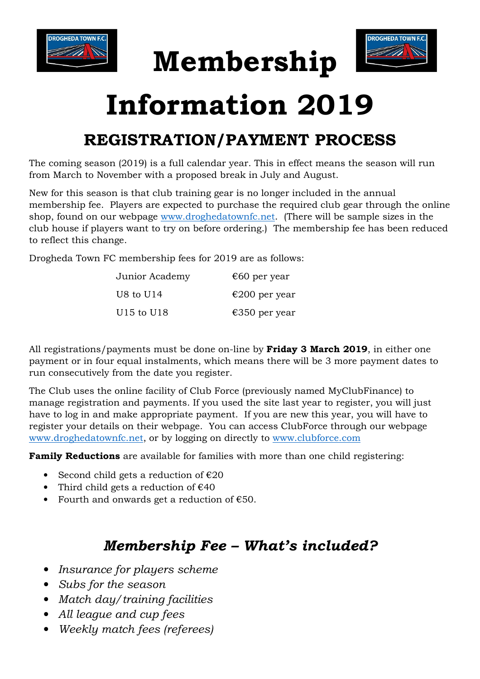

## Membership



## Information 2019

## REGISTRATION/PAYMENT PROCESS

The coming season (2019) is a full calendar year. This in effect means the season will run from March to November with a proposed break in July and August.

New for this season is that club training gear is no longer included in the annual membership fee. Players are expected to purchase the required club gear through the online shop, found on our webpage www.droghedatownfc.net. (There will be sample sizes in the club house if players want to try on before ordering.) The membership fee has been reduced to reflect this change.

Drogheda Town FC membership fees for 2019 are as follows:

| Junior Academy | €60 per year  |
|----------------|---------------|
| U8 to U14      | €200 per year |
| U15 to U18     | €350 per year |

All registrations/payments must be done on-line by **Friday 3 March 2019**, in either one payment or in four equal instalments, which means there will be 3 more payment dates to run consecutively from the date you register.

The Club uses the online facility of Club Force (previously named MyClubFinance) to manage registration and payments. If you used the site last year to register, you will just have to log in and make appropriate payment. If you are new this year, you will have to register your details on their webpage. You can access ClubForce through our webpage www.droghedatownfc.net, or by logging on directly to www.clubforce.com

Family Reductions are available for families with more than one child registering:

- Second child gets a reduction of  $E20$
- Third child gets a reduction of  $€40$
- Fourth and onwards get a reduction of  $€50$ .

## Membership Fee – What's included?

- Insurance for players scheme
- Subs for the season
- Match day/training facilities
- All league and cup fees
- Weekly match fees (referees)